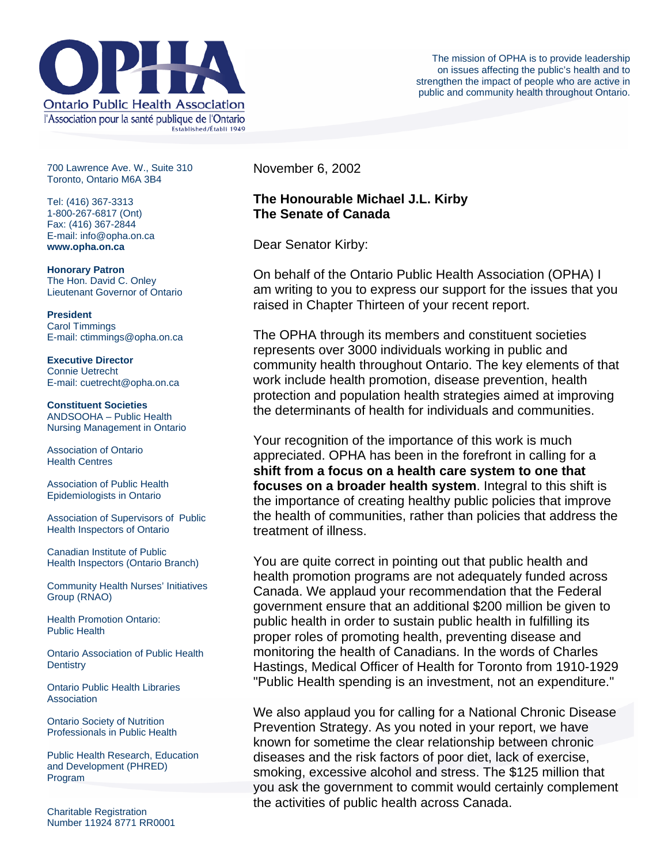

700 Lawrence Ave. W., Suite 310 Toronto, Ontario M6A 3B4

Tel: (416) 367-3313 1-800-267-6817 (Ont) Fax: (416) 367-2844 E-mail: info@opha.on.ca **www.opha.on.ca** 

**Honorary Patron**  The Hon. David C. Onley Lieutenant Governor of Ontario

**President**  Carol Timmings E-mail: ctimmings@opha.on.ca

**Executive Director**  Connie Uetrecht E-mail: cuetrecht@opha.on.ca

**Constituent Societies**  ANDSOOHA – Public Health Nursing Management in Ontario

Association of Ontario Health Centres

Association of Public Health Epidemiologists in Ontario

Association of Supervisors of Public Health Inspectors of Ontario

Canadian Institute of Public Health Inspectors (Ontario Branch)

Community Health Nurses' Initiatives Group (RNAO)

Health Promotion Ontario: Public Health

Ontario Association of Public Health **Dentistry** 

Ontario Public Health Libraries **Association** 

Ontario Society of Nutrition Professionals in Public Health

Public Health Research, Education and Development (PHRED) Program

Charitable Registration Number 11924 8771 RR0001 November 6, 2002

## **The Honourable Michael J.L. Kirby The Senate of Canada**

Dear Senator Kirby:

On behalf of the Ontario Public Health Association (OPHA) I am writing to you to express our support for the issues that you raised in Chapter Thirteen of your recent report.

The OPHA through its members and constituent societies represents over 3000 individuals working in public and community health throughout Ontario. The key elements of that work include health promotion, disease prevention, health protection and population health strategies aimed at improving the determinants of health for individuals and communities.

Your recognition of the importance of this work is much appreciated. OPHA has been in the forefront in calling for a **shift from a focus on a health care system to one that focuses on a broader health system**. Integral to this shift is the importance of creating healthy public policies that improve the health of communities, rather than policies that address the treatment of illness.

You are quite correct in pointing out that public health and health promotion programs are not adequately funded across Canada. We applaud your recommendation that the Federal government ensure that an additional \$200 million be given to public health in order to sustain public health in fulfilling its proper roles of promoting health, preventing disease and monitoring the health of Canadians. In the words of Charles Hastings, Medical Officer of Health for Toronto from 1910-1929 "Public Health spending is an investment, not an expenditure."

We also applaud you for calling for a National Chronic Disease Prevention Strategy. As you noted in your report, we have known for sometime the clear relationship between chronic diseases and the risk factors of poor diet, lack of exercise, smoking, excessive alcohol and stress. The \$125 million that you ask the government to commit would certainly complement the activities of public health across Canada.